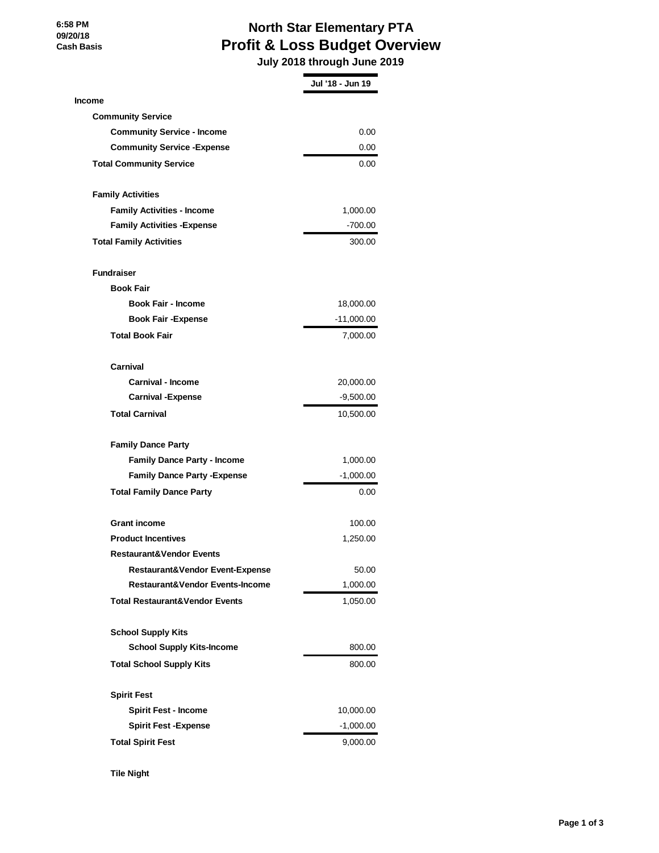**6:58 PM 09/20/18 Cash Basis**

## **North Star Elementary PTA Profit & Loss Budget Overview**

 **July 2018 through June 2019**

|                                            | Jul '18 - Jun 19 |
|--------------------------------------------|------------------|
| <b>Income</b>                              |                  |
| <b>Community Service</b>                   |                  |
| <b>Community Service - Income</b>          | 0.00             |
| <b>Community Service - Expense</b>         | 0.00             |
| <b>Total Community Service</b>             | 0.00             |
| <b>Family Activities</b>                   |                  |
| <b>Family Activities - Income</b>          | 1,000.00         |
| <b>Family Activities - Expense</b>         | $-700.00$        |
| <b>Total Family Activities</b>             | 300.00           |
| <b>Fundraiser</b>                          |                  |
| <b>Book Fair</b>                           |                  |
| <b>Book Fair - Income</b>                  | 18,000.00        |
| <b>Book Fair - Expense</b>                 | $-11,000.00$     |
| <b>Total Book Fair</b>                     | 7,000.00         |
| Carnival                                   |                  |
| <b>Carnival - Income</b>                   | 20,000.00        |
| <b>Carnival - Expense</b>                  | -9,500.00        |
| <b>Total Carnival</b>                      | 10,500.00        |
| <b>Family Dance Party</b>                  |                  |
| <b>Family Dance Party - Income</b>         | 1,000.00         |
| <b>Family Dance Party - Expense</b>        | $-1,000.00$      |
| <b>Total Family Dance Party</b>            | 0.00             |
| <b>Grant income</b>                        | 100.00           |
| <b>Product Incentives</b>                  | 1,250.00         |
| <b>Restaurant&amp;Vendor Events</b>        |                  |
| <b>Restaurant&amp;Vendor Event-Expense</b> | 50.00            |
| <b>Restaurant&amp;Vendor Events-Income</b> | 1,000.00         |
| <b>Total Restaurant&amp;Vendor Events</b>  | 1,050.00         |
| <b>School Supply Kits</b>                  |                  |
| <b>School Supply Kits-Income</b>           | 800.00           |
| <b>Total School Supply Kits</b>            | 800.00           |
| <b>Spirit Fest</b>                         |                  |
| <b>Spirit Fest - Income</b>                | 10,000.00        |
| <b>Spirit Fest -Expense</b>                | $-1,000.00$      |
| <b>Total Spirit Fest</b>                   | 9,000.00         |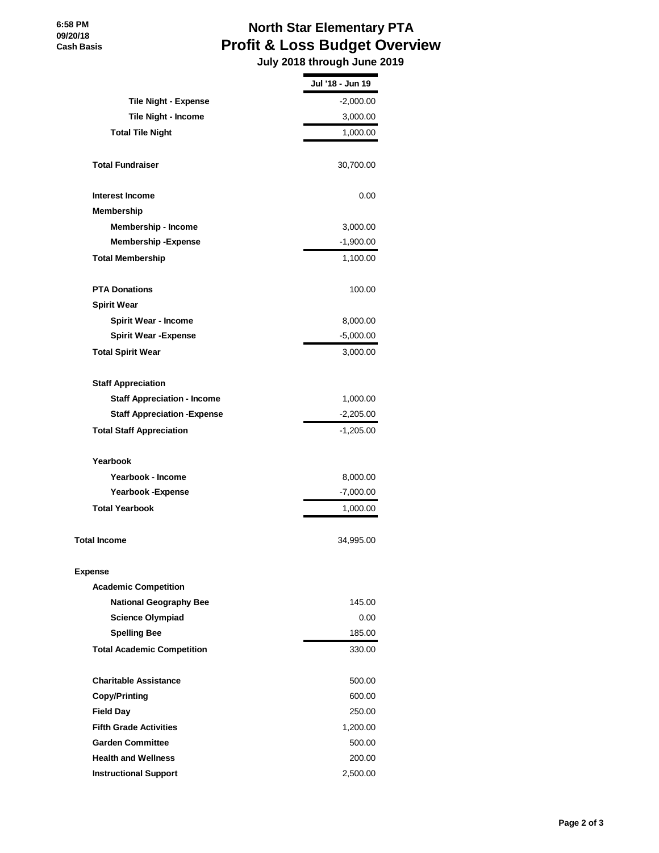## **North Star Elementary PTA Profit & Loss Budget Overview**

 **July 2018 through June 2019**

|                                     | Jul '18 - Jun 19 |
|-------------------------------------|------------------|
| <b>Tile Night - Expense</b>         | $-2,000.00$      |
| Tile Night - Income                 | 3,000.00         |
| <b>Total Tile Night</b>             | 1,000.00         |
| <b>Total Fundraiser</b>             | 30,700.00        |
| Interest Income                     | 0.00             |
| <b>Membership</b>                   |                  |
| Membership - Income                 | 3,000.00         |
| <b>Membership - Expense</b>         | $-1,900.00$      |
| <b>Total Membership</b>             | 1,100.00         |
| <b>PTA Donations</b>                | 100.00           |
| <b>Spirit Wear</b>                  |                  |
| <b>Spirit Wear - Income</b>         | 8,000.00         |
| <b>Spirit Wear - Expense</b>        | $-5,000.00$      |
| <b>Total Spirit Wear</b>            | 3,000.00         |
| <b>Staff Appreciation</b>           |                  |
| <b>Staff Appreciation - Income</b>  | 1,000.00         |
| <b>Staff Appreciation - Expense</b> | $-2,205.00$      |
| <b>Total Staff Appreciation</b>     | $-1,205.00$      |
| Yearbook                            |                  |
| Yearbook - Income                   | 8,000.00         |
| <b>Yearbook -Expense</b>            | $-7,000.00$      |
| <b>Total Yearbook</b>               | 1,000.00         |
| <b>Total Income</b>                 | 34,995.00        |
| <b>Expense</b>                      |                  |
| <b>Academic Competition</b>         |                  |
| <b>National Geography Bee</b>       | 145.00           |
| <b>Science Olympiad</b>             | 0.00             |
| <b>Spelling Bee</b>                 | 185.00           |
| <b>Total Academic Competition</b>   | 330.00           |
| <b>Charitable Assistance</b>        | 500.00           |
| <b>Copy/Printing</b>                | 600.00           |
| <b>Field Day</b>                    | 250.00           |
| <b>Fifth Grade Activities</b>       | 1,200.00         |
| <b>Garden Committee</b>             | 500.00           |
| <b>Health and Wellness</b>          | 200.00           |
| <b>Instructional Support</b>        | 2,500.00         |